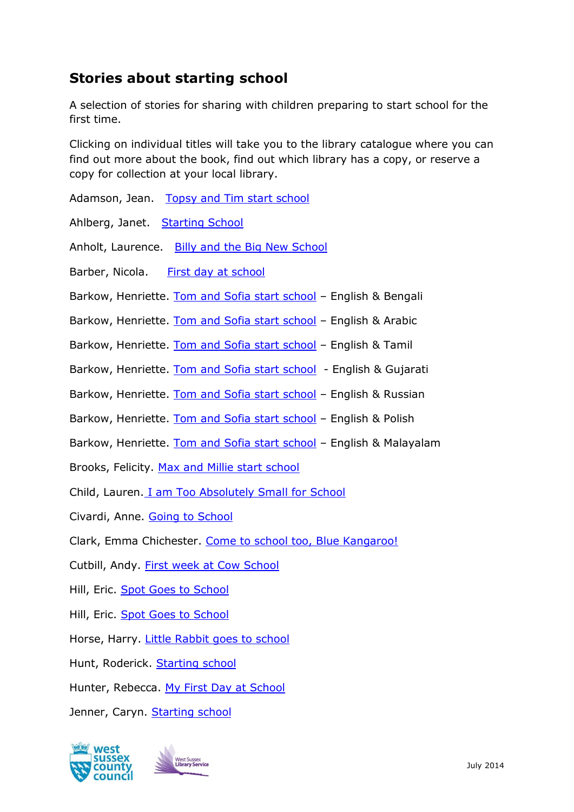## **Stories about starting school**

A selection of stories for sharing with children preparing to start school for the first time.

Clicking on individual titles will take you to the library catalogue where you can find out more about the book, find out which library has a copy, or reserve a copy for collection at your local library.

Adamson, Jean. [Topsy and Tim start school](https://arena.westsussex.gov.uk/web/arena/search?p_auth=A5jhai9T&p_p_id=searchResult_WAR_arenaportlets&p_p_lifecycle=1&p_p_state=normal&p_p_mode=view&p_r_p_687834046_facet_queries=&p_r_p_687834046_sort_advice=field%3DRelevance%26direction%3DDescending&p_r_p_687834046_search_type=solr&p_r_p_687834046_search_query=Topsy+and+Tim+start+school)

Ahlberg, Janet. [Starting School](https://arena.westsussex.gov.uk/web/arena/search?p_auth=A5jhai9T&p_p_id=searchResult_WAR_arenaportlets&p_p_lifecycle=1&p_p_state=normal&p_p_mode=view&p_r_p_687834046_facet_queries=&p_r_p_687834046_sort_advice=field%3DRelevance%26direction%3DDescending&p_r_p_687834046_search_type=solr&p_r_p_687834046_search_query=ahlberg+Starting+School)

Anholt, Laurence. [Billy and the Big New School](https://arena.westsussex.gov.uk/web/arena/search?p_auth=A5jhai9T&p_p_id=searchResult_WAR_arenaportlets&p_p_lifecycle=1&p_p_state=normal&p_p_mode=view&p_r_p_687834046_facet_queries=&p_r_p_687834046_sort_advice=field%3DRelevance%26direction%3DDescending&p_r_p_687834046_search_type=solr&p_r_p_687834046_search_query=Billy+and+the+Big+New+School)

Barber, Nicola. [First day at school](https://arena.westsussex.gov.uk/web/arena/results?p_auth=A5jhai9T&p_p_id=crDetailWicket_WAR_arenaportlets&p_p_lifecycle=1&p_p_state=normal&p_p_mode=view&p_p_col_id=column-2&p_p_col_pos=1&p_p_col_count=4&p_r_p_687834046_facet_queries=&_crDetailWicket_WAR_arenaportlets_back_url=https%3A%2F%2Farena.westsussex.gov.uk%2Fweb%2Farena%2Fsearch%3Fp_auth%3DA5jhai9T%26p_p_id%3DsearchResult_WAR_arenaportlets%26p_p_lifecycle%3D1%26p_p_state%3Dnormal%26p_p_mode%3Dview%26p_p_col_id%3Dcolumn-2%26p_p_col_pos%3D1%26p_p_col_count%3D4%26p_r_p_687834046_facet_queries%3D%26p_r_p_687834046_search_item_no%3D1%26p_r_p_687834046_sort_advice%3Dfield%253DRelevance%2526direction%253DDescending%26_searchResult_WAR_arenaportlets_arena_member_id%3D45880238%26_searchResult_WAR_arenaportlets_agency_name%3DAUK000038%26p_r_p_687834046_search_type%3Dsolr%26p_r_p_687834046_search_query%3Dbarber%2BFirst%2Bday%2Bat%2Bschool&p_r_p_687834046_search_item_no=1&p_r_p_687834046_sort_advice=field%3DRelevance%26direction%3DDescending&p_r_p_687834046_arena_member_id=45880238&p_r_p_687834046_search_item_id=0750265167&p_r_p_687834046_agency_name=AUK000038&p_r_p_687834046_search_type=solr&p_r_p_687834046_search_query=barber+First+day+at+school)

Barkow, Henriette. [Tom and Sofia start school](https://arena.westsussex.gov.uk/web/arena/results?p_auth=A5jhai9T&p_p_id=crDetailWicket_WAR_arenaportlets&p_p_lifecycle=1&p_p_state=normal&p_p_mode=view&p_p_col_id=column-2&p_p_col_pos=1&p_p_col_count=4&p_r_p_687834046_facet_queries=&_crDetailWicket_WAR_arenaportlets_back_url=https%3A%2F%2Farena.westsussex.gov.uk%2Fweb%2Farena%2Fsearch%3Fp_auth%3DA5jhai9T%26p_p_id%3DsearchResult_WAR_arenaportlets%26p_p_lifecycle%3D1%26p_p_state%3Dnormal%26p_p_mode%3Dview%26p_p_col_id%3Dcolumn-2%26p_p_col_pos%3D1%26p_p_col_count%3D4%26p_r_p_687834046_facet_queries%3D%26p_r_p_687834046_search_item_no%3D8%26p_r_p_687834046_sort_advice%3Dfield%253DRelevance%2526direction%253DDescending%26_searchResult_WAR_arenaportlets_arena_member_id%3D45880238%26_searchResult_WAR_arenaportlets_agency_name%3DAUK000038%26p_r_p_687834046_search_type%3Dsolr%26p_r_p_687834046_search_query%3Dbarkow%2BTom%2Band%2BSofia%2Bstart%2Bschool&p_r_p_687834046_search_item_no=8&p_r_p_687834046_sort_advice=field%3DRelevance%26direction%3DDescending&p_r_p_687834046_arena_member_id=45880238&p_r_p_687834046_search_item_id=1844445623&p_r_p_687834046_agency_name=AUK000038&p_r_p_687834046_search_type=solr&p_r_p_687834046_search_query=barkow+Tom+and+Sofia+start+school) - English & Bengali

Barkow, Henriette. [Tom and Sofia start school](https://arena.westsussex.gov.uk/web/arena/results?p_auth=A5jhai9T&p_p_id=crDetailWicket_WAR_arenaportlets&p_p_lifecycle=1&p_p_state=normal&p_p_mode=view&p_p_col_id=column-2&p_p_col_pos=1&p_p_col_count=4&p_r_p_687834046_facet_queries=language_facet%3Dara&p_r_p_687834046_search_item_no=0&p_r_p_687834046_sort_advice=field%3DRelevance%26direction%3DDescending&p_r_p_687834046_search_item_id=1844445615&p_r_p_687834046_agency_name=AUK000038&p_r_p_687834046_search_type=solr&p_r_p_687834046_search_query=barkow+Tom+and+Sofia+start+school) - English & Arabic

Barkow, Henriette. [Tom and Sofia start school](https://arena.westsussex.gov.uk/web/arena/results?p_auth=A5jhai9T&p_p_id=crDetailWicket_WAR_arenaportlets&p_p_lifecycle=1&p_p_state=normal&p_p_mode=view&p_p_col_id=column-2&p_p_col_pos=1&p_p_col_count=4&p_r_p_687834046_facet_queries=language_facet%3Dtam&p_r_p_687834046_search_item_no=0&p_r_p_687834046_sort_advice=field%3DRelevance%26direction%3DDescending&p_r_p_687834046_search_item_id=184444581X&p_r_p_687834046_agency_name=AUK000038&p_r_p_687834046_search_type=solr&p_r_p_687834046_search_query=barkow+Tom+and+Sofia+start+school) – English & Tamil

Barkow, Henriette. [Tom and Sofia start school](https://arena.westsussex.gov.uk/web/arena/results?p_auth=rOLwxpSP&p_p_id=crDetailWicket_WAR_arenaportlets&p_p_lifecycle=1&p_p_state=normal&p_p_mode=view&p_p_col_id=column-2&p_p_col_pos=1&p_p_col_count=4&p_r_p_687834046_facet_queries=language_facet%3Dguj&p_r_p_687834046_search_item_no=0&p_r_p_687834046_sort_advice=field%3DRelevance%26direction%3DDescending&p_r_p_687834046_search_item_id=1844445690&p_r_p_687834046_agency_name=AUK000038&p_r_p_687834046_search_type=solr&p_r_p_687834046_search_query=Tom+and+Sofia+start+school) - English & Gujarati

Barkow, Henriette. [Tom and Sofia start school](https://arena.westsussex.gov.uk/web/arena/results?p_auth=rOLwxpSP&p_p_id=crDetailWicket_WAR_arenaportlets&p_p_lifecycle=1&p_p_state=normal&p_p_mode=view&p_p_col_id=column-2&p_p_col_pos=1&p_p_col_count=4&p_r_p_687834046_facet_queries=&p_r_p_687834046_search_item_no=0&p_r_p_687834046_sort_advice=field%3DRelevance%26direction%3DDescending&p_r_p_687834046_search_item_id=1844445798&p_r_p_687834046_agency_name=AUK000038&p_r_p_687834046_search_type=solr&p_r_p_687834046_search_query=Tom+and+Sofia+start+school+russian) – English & Russian

Barkow, Henriette. [Tom and Sofia start school](https://arena.westsussex.gov.uk/web/arena/results?p_auth=rOLwxpSP&p_p_id=crDetailWicket_WAR_arenaportlets&p_p_lifecycle=1&p_p_state=normal&p_p_mode=view&p_p_col_id=column-2&p_p_col_pos=1&p_p_col_count=4&p_r_p_687834046_facet_queries=&p_r_p_687834046_search_item_no=0&p_r_p_687834046_sort_advice=field%3DRelevance%26direction%3DDescending&p_r_p_687834046_search_item_id=1844445763&p_r_p_687834046_agency_name=AUK000038&p_r_p_687834046_search_type=solr&p_r_p_687834046_search_query=Tom+and+Sofia+start+school+polish) – English & Polish

Barkow, Henriette. [Tom and Sofia start school](https://arena.westsussex.gov.uk/web/arena/results?p_auth=rOLwxpSP&p_p_id=crDetailWicket_WAR_arenaportlets&p_p_lifecycle=1&p_p_state=normal&p_p_mode=view&p_p_col_id=column-2&p_p_col_pos=1&p_p_col_count=4&p_r_p_687834046_facet_queries=language_facet%3Dmal&p_r_p_687834046_search_item_no=0&p_r_p_687834046_sort_advice=field%3DRelevance%26direction%3DDescending&p_r_p_687834046_search_item_id=1844445879&p_r_p_687834046_agency_name=AUK000038&p_r_p_687834046_search_type=solr&p_r_p_687834046_search_query=Tom+and+Sofia+start+school) - English & Malayalam

Brooks, Felicity. [Max and Millie start school](https://arena.westsussex.gov.uk/web/arena/results?p_auth=rOLwxpSP&p_p_id=crDetailWicket_WAR_arenaportlets&p_p_lifecycle=1&p_p_state=normal&p_p_mode=view&p_p_col_id=column-2&p_p_col_pos=1&p_p_col_count=4&p_r_p_687834046_facet_queries=&p_r_p_687834046_search_item_no=0&p_r_p_687834046_sort_advice=field%3DRelevance%26direction%3DDescending&p_r_p_687834046_search_item_id=1409546039&p_r_p_687834046_agency_name=AUK000038&p_r_p_687834046_search_type=solr&p_r_p_687834046_search_query=Max+and+Millie+start+school)

Child, Lauren. [I am Too Absolutely Small for School](https://arena.westsussex.gov.uk/web/arena/search?p_auth=rOLwxpSP&p_p_id=searchResult_WAR_arenaportlets&p_p_lifecycle=1&p_p_state=normal&p_p_mode=view&p_r_p_687834046_facet_queries=&p_r_p_687834046_sort_advice=field%3DRelevance%26direction%3DDescending&p_r_p_687834046_search_type=solr&p_r_p_687834046_search_query=I+am+Too+Absolutely+Small+for+School)

Civardi, Anne. [Going to School](https://arena.westsussex.gov.uk/web/arena/results?p_auth=rOLwxpSP&p_p_id=crDetailWicket_WAR_arenaportlets&p_p_lifecycle=1&p_p_state=normal&p_p_mode=view&p_p_col_id=column-2&p_p_col_pos=1&p_p_col_count=4&p_r_p_687834046_facet_queries=&p_r_p_687834046_search_item_no=0&p_r_p_687834046_sort_advice=field%3DRelevance%26direction%3DDescending&p_r_p_687834046_search_item_id=0746066600&p_r_p_687834046_agency_name=AUK000038&p_r_p_687834046_search_type=solr&p_r_p_687834046_search_query=civardi+going+to+school)

Clark, Emma Chichester. [Come to school too, Blue Kangaroo!](https://arena.westsussex.gov.uk/web/arena/search?p_auth=rOLwxpSP&p_p_id=searchResult_WAR_arenaportlets&p_p_lifecycle=1&p_p_state=normal&p_p_mode=view&p_r_p_687834046_facet_queries=&p_r_p_687834046_sort_advice=field%3DRelevance%26direction%3DDescending&p_r_p_687834046_search_type=solr&p_r_p_687834046_search_query=Come+to+school+too%2C+Blue+Kangaroo%21)

Cutbill, Andy. [First week at Cow School](https://arena.westsussex.gov.uk/web/arena/results?p_auth=rOLwxpSP&p_p_id=crDetailWicket_WAR_arenaportlets&p_p_lifecycle=1&p_p_state=normal&p_p_mode=view&p_p_col_id=column-2&p_p_col_pos=1&p_p_col_count=4&p_r_p_687834046_facet_queries=&p_r_p_687834046_search_item_no=0&p_r_p_687834046_sort_advice=field%3DRelevance%26direction%3DDescending&p_r_p_687834046_search_item_id=0007274688&p_r_p_687834046_agency_name=AUK000038&p_r_p_687834046_search_type=solr&p_r_p_687834046_search_query=First+week+at+Cow+School)

Hill, Eric. [Spot Goes to School](https://arena.westsussex.gov.uk/web/arena/results?p_auth=ljwRra7e&p_p_id=crDetailWicket_WAR_arenaportlets&p_p_lifecycle=1&p_p_state=normal&p_p_mode=view&p_p_col_id=column-2&p_p_col_pos=1&p_p_col_count=4&p_r_p_687834046_facet_queries=&_crDetailWicket_WAR_arenaportlets_back_url=https%3A%2F%2Farena.westsussex.gov.uk%2Fweb%2Farena%2Fsearch%3Fp_auth%3DljwRra7e%26p_p_id%3DsearchResult_WAR_arenaportlets%26p_p_lifecycle%3D1%26p_p_state%3Dnormal%26p_p_mode%3Dview%26p_p_col_id%3Dcolumn-2%26p_p_col_pos%3D1%26p_p_col_count%3D4%26p_r_p_687834046_facet_queries%3D%26p_r_p_687834046_search_item_no%3D2%26p_r_p_687834046_sort_advice%3Dfield%253DRelevance%2526direction%253DDescending%26_searchResult_WAR_arenaportlets_arena_member_id%3D45880238%26_searchResult_WAR_arenaportlets_agency_name%3DAUK000038%26p_r_p_687834046_search_type%3Dsolr%26p_r_p_687834046_search_query%3Dspot%2Bgoes%2Bto%2Bschool&p_r_p_687834046_search_item_no=2&p_r_p_687834046_sort_advice=field%3DRelevance%26direction%3DDescending&p_r_p_687834046_arena_member_id=45880238&p_r_p_687834046_search_item_id=0723263604&p_r_p_687834046_agency_name=AUK000038&p_r_p_687834046_search_type=solr&p_r_p_687834046_search_query=spot+goes+to+school)

Hill, Eric. [Spot Goes to School](https://arena.westsussex.gov.uk/web/arena/results?p_auth=ljwRra7e&p_p_id=crDetailWicket_WAR_arenaportlets&p_p_lifecycle=1&p_p_state=normal&p_p_mode=view&p_p_col_id=column-2&p_p_col_pos=1&p_p_col_count=4&p_r_p_687834046_facet_queries=&_crDetailWicket_WAR_arenaportlets_back_url=https%3A%2F%2Farena.westsussex.gov.uk%2Fweb%2Farena%2Fsearch%3Fp_auth%3DljwRra7e%26p_p_id%3DsearchResult_WAR_arenaportlets%26p_p_lifecycle%3D1%26p_p_state%3Dnormal%26p_p_mode%3Dview%26p_p_col_id%3Dcolumn-2%26p_p_col_pos%3D1%26p_p_col_count%3D4%26p_r_p_687834046_facet_queries%3D%26p_r_p_687834046_search_item_no%3D3%26p_r_p_687834046_sort_advice%3Dfield%253DRelevance%2526direction%253DDescending%26_searchResult_WAR_arenaportlets_arena_member_id%3D45880238%26_searchResult_WAR_arenaportlets_agency_name%3DAUK000038%26p_r_p_687834046_search_type%3Dsolr%26p_r_p_687834046_search_query%3Dspot%2Bgoes%2Bto%2Bschool&p_r_p_687834046_search_item_no=3&p_r_p_687834046_sort_advice=field%3DRelevance%26direction%3DDescending&p_r_p_687834046_arena_member_id=45880238&p_r_p_687834046_search_item_id=0140506500&p_r_p_687834046_agency_name=AUK000038&p_r_p_687834046_search_type=solr&p_r_p_687834046_search_query=spot+goes+to+school)

Horse, Harry. [Little Rabbit goes to school](https://arena.westsussex.gov.uk/web/arena/search?p_auth=ljwRra7e&p_p_id=searchResult_WAR_arenaportlets&p_p_lifecycle=1&p_p_state=normal&p_p_mode=view&p_r_p_687834046_facet_queries=&p_r_p_687834046_sort_advice=field%3DRelevance%26direction%3DDescending&p_r_p_687834046_search_type=solr&p_r_p_687834046_search_query=Little+Rabbit+goes+to+school)

Hunt, Roderick. [Starting school](https://arena.westsussex.gov.uk/web/arena/results?p_auth=ljwRra7e&p_p_id=crDetailWicket_WAR_arenaportlets&p_p_lifecycle=1&p_p_state=normal&p_p_mode=view&p_p_col_id=column-2&p_p_col_pos=1&p_p_col_count=4&p_r_p_687834046_facet_queries=&_crDetailWicket_WAR_arenaportlets_back_url=https%3A%2F%2Farena.westsussex.gov.uk%2Fweb%2Farena%2Fsearch%3Fp_auth%3DljwRra7e%26p_p_id%3DsearchResult_WAR_arenaportlets%26p_p_lifecycle%3D1%26p_p_state%3Dnormal%26p_p_mode%3Dview%26p_p_col_id%3Dcolumn-2%26p_p_col_pos%3D1%26p_p_col_count%3D4%26p_r_p_687834046_facet_queries%3D%26p_r_p_687834046_search_item_no%3D0%26p_r_p_687834046_sort_advice%3Dfield%253DRelevance%2526direction%253DDescending%26_searchResult_WAR_arenaportlets_arena_member_id%3D45880238%26_searchResult_WAR_arenaportlets_agency_name%3DAUK000038%26p_r_p_687834046_search_type%3Dsolr%26p_r_p_687834046_search_query%3Dhunt%2Bstarting%2Bschool&p_r_p_687834046_search_item_no=0&p_r_p_687834046_sort_advice=field%3DRelevance%26direction%3DDescending&p_r_p_687834046_arena_member_id=45880238&p_r_p_687834046_search_item_id=0198487959&p_r_p_687834046_agency_name=AUK000038&p_r_p_687834046_search_type=solr&p_r_p_687834046_search_query=hunt+starting+school)

Hunter, Rebecca. [My First Day at School](https://arena.westsussex.gov.uk/web/arena/results?p_auth=ljwRra7e&p_p_id=crDetailWicket_WAR_arenaportlets&p_p_lifecycle=1&p_p_state=normal&p_p_mode=view&p_p_col_id=column-2&p_p_col_pos=1&p_p_col_count=4&p_r_p_687834046_facet_queries=&_crDetailWicket_WAR_arenaportlets_back_url=https%3A%2F%2Farena.westsussex.gov.uk%2Fweb%2Farena%2Fsearch%3Fp_auth%3DljwRra7e%26p_p_id%3DsearchResult_WAR_arenaportlets%26p_p_lifecycle%3D1%26p_p_state%3Dnormal%26p_p_mode%3Dview%26p_p_col_id%3Dcolumn-2%26p_p_col_pos%3D1%26p_p_col_count%3D4%26p_r_p_687834046_facet_queries%3D%26p_r_p_687834046_search_item_no%3D1%26p_r_p_687834046_sort_advice%3Dfield%253DRelevance%2526direction%253DDescending%26_searchResult_WAR_arenaportlets_arena_member_id%3D45880238%26_searchResult_WAR_arenaportlets_agency_name%3DAUK000038%26p_r_p_687834046_search_type%3Dsolr%26p_r_p_687834046_search_query%3Dhunter%2Bmy%2Bfirst%2Bday&p_r_p_687834046_search_item_no=1&p_r_p_687834046_sort_advice=field%3DRelevance%26direction%3DDescending&p_r_p_687834046_arena_member_id=45880238&p_r_p_687834046_search_item_id=023752693X&p_r_p_687834046_agency_name=AUK000038&p_r_p_687834046_search_type=solr&p_r_p_687834046_search_query=hunter+my+first+day)

Jenner, Caryn. [Starting school](https://arena.westsussex.gov.uk/web/arena/results?p_auth=ljwRra7e&p_p_id=crDetailWicket_WAR_arenaportlets&p_p_lifecycle=1&p_p_state=normal&p_p_mode=view&p_p_col_id=column-2&p_p_col_pos=1&p_p_col_count=4&p_r_p_687834046_facet_queries=&_crDetailWicket_WAR_arenaportlets_back_url=https%3A%2F%2Farena.westsussex.gov.uk%2Fweb%2Farena%2Fsearch%3Fp_auth%3DljwRra7e%26p_p_id%3DsearchResult_WAR_arenaportlets%26p_p_lifecycle%3D1%26p_p_state%3Dnormal%26p_p_mode%3Dview%26p_p_col_id%3Dcolumn-2%26p_p_col_pos%3D1%26p_p_col_count%3D4%26p_r_p_687834046_facet_queries%3D%26p_r_p_687834046_search_item_no%3D1%26p_r_p_687834046_sort_advice%3Dfield%253DRelevance%2526direction%253DDescending%26_searchResult_WAR_arenaportlets_arena_member_id%3D45880238%26_searchResult_WAR_arenaportlets_agency_name%3DAUK000038%26p_r_p_687834046_search_type%3Dsolr%26p_r_p_687834046_search_query%3Djenner%2Bstarting%2Bschool&p_r_p_687834046_search_item_no=1&p_r_p_687834046_sort_advice=field%3DRelevance%26direction%3DDescending&p_r_p_687834046_arena_member_id=45880238&p_r_p_687834046_search_item_id=1445100940&p_r_p_687834046_agency_name=AUK000038&p_r_p_687834046_search_type=solr&p_r_p_687834046_search_query=jenner+starting+school)